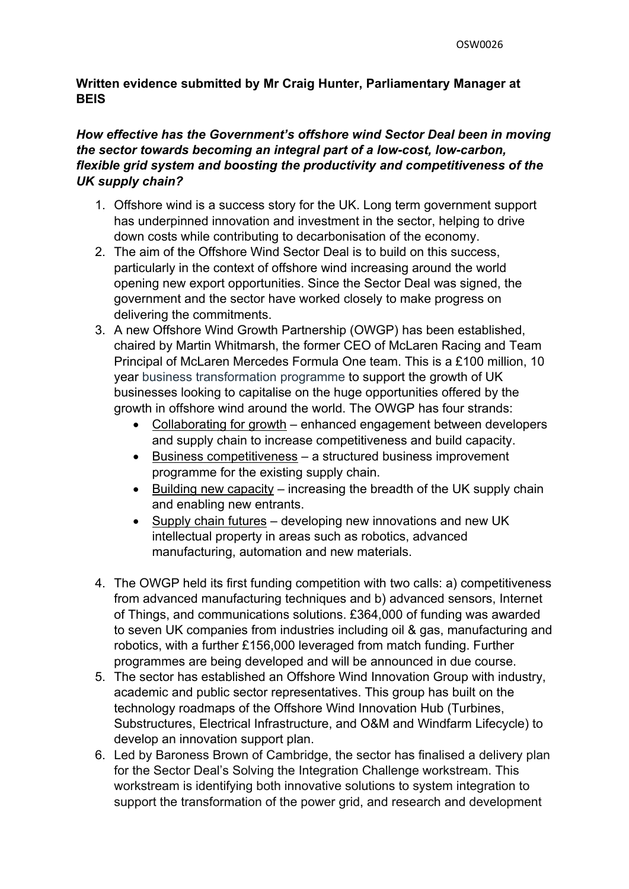# **Written evidence submitted by Mr Craig Hunter, Parliamentary Manager at BEIS**

# *How effective has the Government's offshore wind Sector Deal been in moving the sector towards becoming an integral part of a low-cost, low-carbon, flexible grid system and boosting the productivity and competitiveness of the UK supply chain?*

- 1. Offshore wind is a success story for the UK. Long term government support has underpinned innovation and investment in the sector, helping to drive down costs while contributing to decarbonisation of the economy.
- 2. The aim of the Offshore Wind Sector Deal is to build on this success, particularly in the context of offshore wind increasing around the world opening new export opportunities. Since the Sector Deal was signed, the government and the sector have worked closely to make progress on delivering the commitments.
- 3. A new Offshore Wind Growth Partnership (OWGP) has been established, chaired by Martin Whitmarsh, the former CEO of McLaren Racing and Team Principal of McLaren Mercedes Formula One team. This is a £100 million, 10 year business transformation programme to support the growth of UK businesses looking to capitalise on the huge opportunities offered by the growth in offshore wind around the world. The OWGP has four strands:
	- Collaborating for growth enhanced engagement between developers and supply chain to increase competitiveness and build capacity.
	- Business competitiveness a structured business improvement programme for the existing supply chain.
	- $\bullet$  Building new capacity increasing the breadth of the UK supply chain and enabling new entrants.
	- Supply chain futures developing new innovations and new UK intellectual property in areas such as robotics, advanced manufacturing, automation and new materials.
- 4. The OWGP held its first funding competition with two calls: a) competitiveness from advanced manufacturing techniques and b) advanced sensors, Internet of Things, and communications solutions. £364,000 of funding was awarded to seven UK companies from industries including oil & gas, manufacturing and robotics, with a further £156,000 leveraged from match funding. Further programmes are being developed and will be announced in due course.
- 5. The sector has established an Offshore Wind Innovation Group with industry, academic and public sector representatives. This group has built on the technology roadmaps of the Offshore Wind Innovation Hub (Turbines, Substructures, Electrical Infrastructure, and O&M and Windfarm Lifecycle) to develop an innovation support plan.
- 6. Led by Baroness Brown of Cambridge, the sector has finalised a delivery plan for the Sector Deal's Solving the Integration Challenge workstream. This workstream is identifying both innovative solutions to system integration to support the transformation of the power grid, and research and development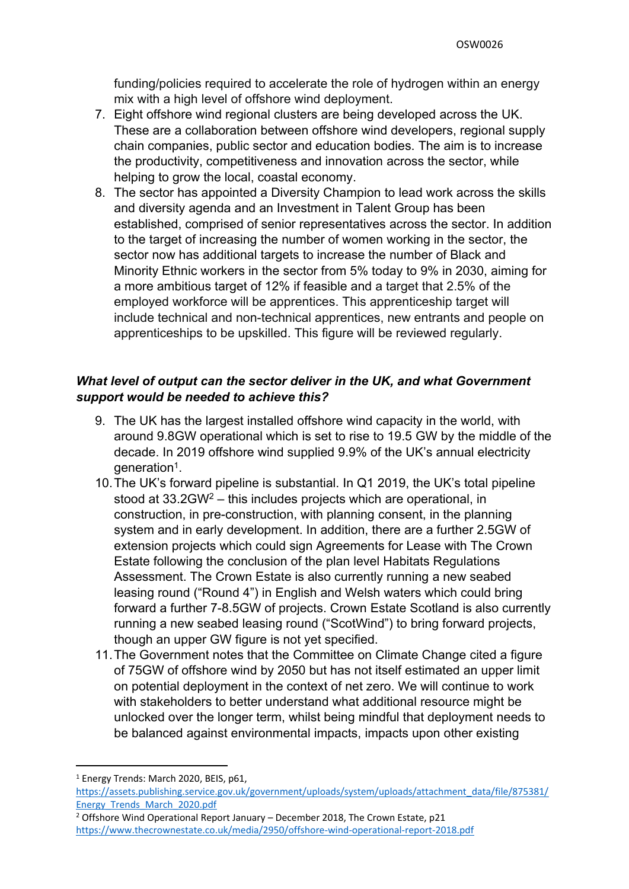funding/policies required to accelerate the role of hydrogen within an energy mix with a high level of offshore wind deployment.

- 7. Eight offshore wind regional clusters are being developed across the UK. These are a collaboration between offshore wind developers, regional supply chain companies, public sector and education bodies. The aim is to increase the productivity, competitiveness and innovation across the sector, while helping to grow the local, coastal economy.
- 8. The sector has appointed a Diversity Champion to lead work across the skills and diversity agenda and an Investment in Talent Group has been established, comprised of senior representatives across the sector. In addition to the target of increasing the number of women working in the sector, the sector now has additional targets to increase the number of Black and Minority Ethnic workers in the sector from 5% today to 9% in 2030, aiming for a more ambitious target of 12% if feasible and a target that 2.5% of the employed workforce will be apprentices. This apprenticeship target will include technical and non-technical apprentices, new entrants and people on apprenticeships to be upskilled. This figure will be reviewed regularly.

# *What level of output can the sector deliver in the UK, and what Government support would be needed to achieve this?*

- 9. The UK has the largest installed offshore wind capacity in the world, with around 9.8GW operational which is set to rise to 19.5 GW by the middle of the decade. In 2019 offshore wind supplied 9.9% of the UK's annual electricity generation<sup>1</sup>.
- 10.The UK's forward pipeline is substantial. In Q1 2019, the UK's total pipeline stood at 33.2GW<sup>2</sup> – this includes projects which are operational, in construction, in pre-construction, with planning consent, in the planning system and in early development. In addition, there are a further 2.5GW of extension projects which could sign Agreements for Lease with The Crown Estate following the conclusion of the plan level Habitats Regulations Assessment. The Crown Estate is also currently running a new seabed leasing round ("Round 4") in English and Welsh waters which could bring forward a further 7-8.5GW of projects. Crown Estate Scotland is also currently running a new seabed leasing round ("ScotWind") to bring forward projects, though an upper GW figure is not yet specified.
- 11.The Government notes that the Committee on Climate Change cited a figure of 75GW of offshore wind by 2050 but has not itself estimated an upper limit on potential deployment in the context of net zero. We will continue to work with stakeholders to better understand what additional resource might be unlocked over the longer term, whilst being mindful that deployment needs to be balanced against environmental impacts, impacts upon other existing

<sup>1</sup> Energy Trends: March 2020, BEIS, p61, [https://assets.publishing.service.gov.uk/government/uploads/system/uploads/attachment\\_data/file/875381/](https://assets.publishing.service.gov.uk/government/uploads/system/uploads/attachment_data/file/875381/Energy_Trends_March_2020.pdf) [Energy\\_Trends\\_March\\_2020.pdf](https://assets.publishing.service.gov.uk/government/uploads/system/uploads/attachment_data/file/875381/Energy_Trends_March_2020.pdf)

<sup>2</sup> Offshore Wind Operational Report January – December 2018, The Crown Estate, p21 <https://www.thecrownestate.co.uk/media/2950/offshore-wind-operational-report-2018.pdf>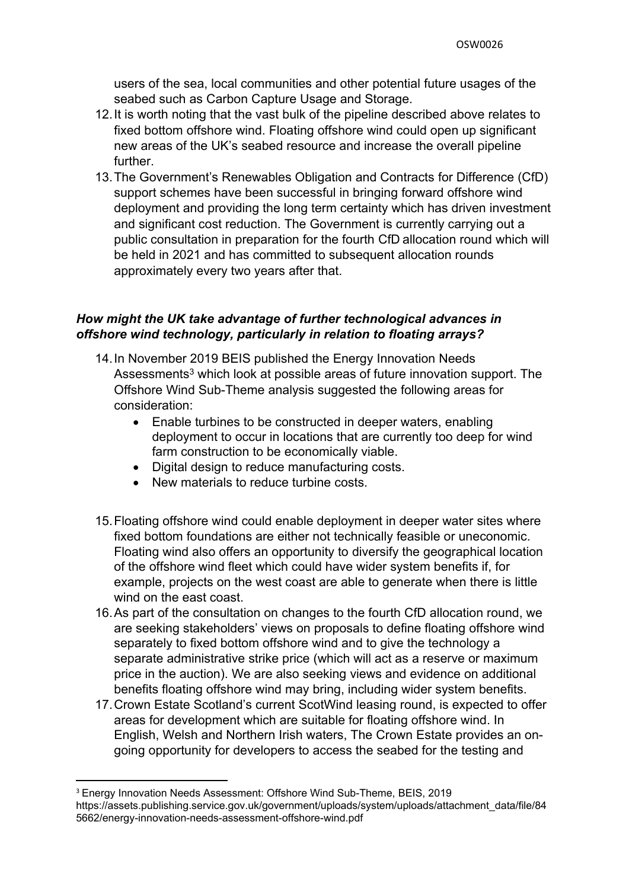users of the sea, local communities and other potential future usages of the seabed such as Carbon Capture Usage and Storage.

- 12.It is worth noting that the vast bulk of the pipeline described above relates to fixed bottom offshore wind. Floating offshore wind could open up significant new areas of the UK's seabed resource and increase the overall pipeline further.
- 13.The Government's Renewables Obligation and Contracts for Difference (CfD) support schemes have been successful in bringing forward offshore wind deployment and providing the long term certainty which has driven investment and significant cost reduction. The Government is currently carrying out a public consultation in preparation for the fourth CfD allocation round which will be held in 2021 and has committed to subsequent allocation rounds approximately every two years after that.

## *How might the UK take advantage of further technological advances in offshore wind technology, particularly in relation to floating arrays?*

- 14.In November 2019 BEIS published the Energy Innovation Needs Assessments<sup>3</sup> which look at possible areas of future innovation support. The Offshore Wind Sub-Theme analysis suggested the following areas for consideration:
	- Enable turbines to be constructed in deeper waters, enabling deployment to occur in locations that are currently too deep for wind farm construction to be economically viable.
	- Digital design to reduce manufacturing costs.
	- New materials to reduce turbine costs.
- 15.Floating offshore wind could enable deployment in deeper water sites where fixed bottom foundations are either not technically feasible or uneconomic. Floating wind also offers an opportunity to diversify the geographical location of the offshore wind fleet which could have wider system benefits if, for example, projects on the west coast are able to generate when there is little wind on the east coast.
- 16.As part of the consultation on changes to the fourth CfD allocation round, we are seeking stakeholders' views on proposals to define floating offshore wind separately to fixed bottom offshore wind and to give the technology a separate administrative strike price (which will act as a reserve or maximum price in the auction). We are also seeking views and evidence on additional benefits floating offshore wind may bring, including wider system benefits.
- 17.Crown Estate Scotland's current ScotWind leasing round, is expected to offer areas for development which are suitable for floating offshore wind. In English, Welsh and Northern Irish waters, The Crown Estate provides an ongoing opportunity for developers to access the seabed for the testing and

<sup>3</sup> Energy Innovation Needs Assessment: Offshore Wind Sub-Theme, BEIS, 2019 https://assets.publishing.service.gov.uk/government/uploads/system/uploads/attachment\_data/file/84 5662/energy-innovation-needs-assessment-offshore-wind.pdf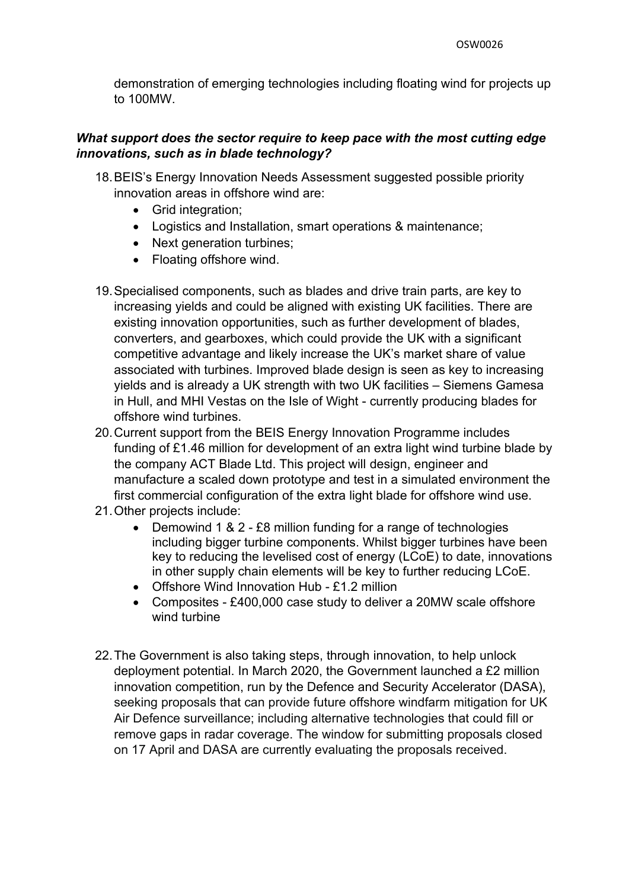demonstration of emerging technologies including floating wind for projects up to 100MW.

#### *What support does the sector require to keep pace with the most cutting edge innovations, such as in blade technology?*

- 18.BEIS's Energy Innovation Needs Assessment suggested possible priority innovation areas in offshore wind are:
	- Grid integration;
	- Logistics and Installation, smart operations & maintenance;
	- Next generation turbines;
	- Floating offshore wind.
- 19.Specialised components, such as blades and drive train parts, are key to increasing yields and could be aligned with existing UK facilities. There are existing innovation opportunities, such as further development of blades, converters, and gearboxes, which could provide the UK with a significant competitive advantage and likely increase the UK's market share of value associated with turbines. Improved blade design is seen as key to increasing yields and is already a UK strength with two UK facilities – Siemens Gamesa in Hull, and MHI Vestas on the Isle of Wight - currently producing blades for offshore wind turbines.
- 20.Current support from the BEIS Energy Innovation Programme includes funding of £1.46 million for development of an extra light wind turbine blade by the company ACT Blade Ltd. This project will design, engineer and manufacture a scaled down prototype and test in a simulated environment the first commercial configuration of the extra light blade for offshore wind use.
- 21.Other projects include:
	- Demowind 1 & 2 £8 million funding for a range of technologies including bigger turbine components. Whilst bigger turbines have been key to reducing the levelised cost of energy (LCoE) to date, innovations in other supply chain elements will be key to further reducing LCoE.
	- Offshore Wind Innovation Hub £1.2 million
	- Composites £400,000 case study to deliver a 20MW scale offshore wind turbine
- 22.The Government is also taking steps, through innovation, to help unlock deployment potential. In March 2020, the Government launched a £2 million innovation competition, run by the Defence and Security Accelerator (DASA), seeking proposals that can provide future offshore windfarm mitigation for UK Air Defence surveillance; including alternative technologies that could fill or remove gaps in radar coverage. The window for submitting proposals closed on 17 April and DASA are currently evaluating the proposals received.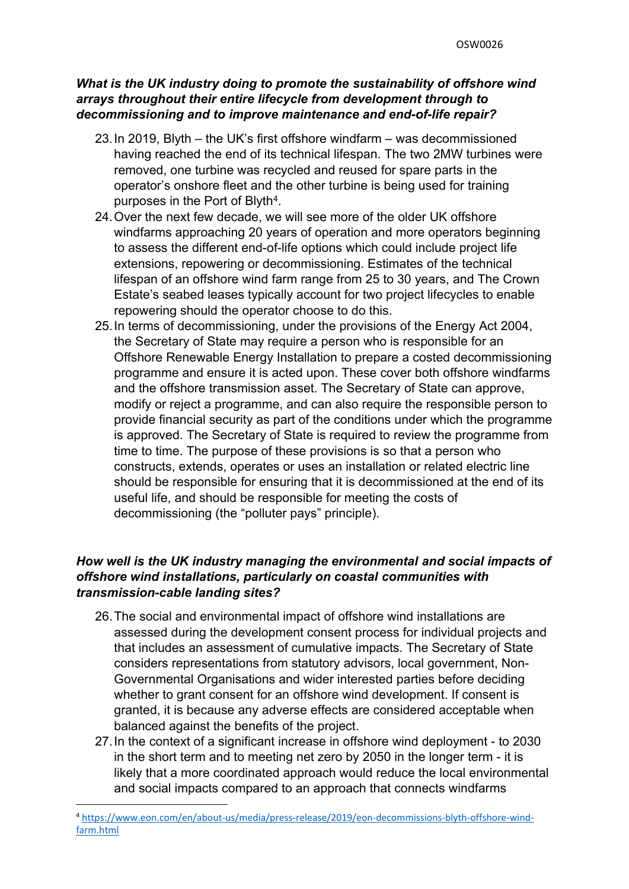## *What is the UK industry doing to promote the sustainability of offshore wind arrays throughout their entire lifecycle from development through to decommissioning and to improve maintenance and end-of-life repair?*

- 23.In 2019, Blyth the UK's first offshore windfarm was decommissioned having reached the end of its technical lifespan. The two 2MW turbines were removed, one turbine was recycled and reused for spare parts in the operator's onshore fleet and the other turbine is being used for training purposes in the Port of Blyth<sup>4</sup>.
- 24.Over the next few decade, we will see more of the older UK offshore windfarms approaching 20 years of operation and more operators beginning to assess the different end-of-life options which could include project life extensions, repowering or decommissioning. Estimates of the technical lifespan of an offshore wind farm range from 25 to 30 years, and The Crown Estate's seabed leases typically account for two project lifecycles to enable repowering should the operator choose to do this.
- 25.In terms of decommissioning, under the provisions of the Energy Act 2004, the Secretary of State may require a person who is responsible for an Offshore Renewable Energy Installation to prepare a costed decommissioning programme and ensure it is acted upon. These cover both offshore windfarms and the offshore transmission asset. The Secretary of State can approve, modify or reject a programme, and can also require the responsible person to provide financial security as part of the conditions under which the programme is approved. The Secretary of State is required to review the programme from time to time. The purpose of these provisions is so that a person who constructs, extends, operates or uses an installation or related electric line should be responsible for ensuring that it is decommissioned at the end of its useful life, and should be responsible for meeting the costs of decommissioning (the "polluter pays" principle).

# *How well is the UK industry managing the environmental and social impacts of offshore wind installations, particularly on coastal communities with transmission-cable landing sites?*

- 26.The social and environmental impact of offshore wind installations are assessed during the development consent process for individual projects and that includes an assessment of cumulative impacts. The Secretary of State considers representations from statutory advisors, local government, Non-Governmental Organisations and wider interested parties before deciding whether to grant consent for an offshore wind development. If consent is granted, it is because any adverse effects are considered acceptable when balanced against the benefits of the project.
- 27.In the context of a significant increase in offshore wind deployment to 2030 in the short term and to meeting net zero by 2050 in the longer term - it is likely that a more coordinated approach would reduce the local environmental and social impacts compared to an approach that connects windfarms

<sup>4</sup> [https://www.eon.com/en/about-us/media/press-release/2019/eon-decommissions-blyth-offshore-wind](https://www.eon.com/en/about-us/media/press-release/2019/eon-decommissions-blyth-offshore-wind-farm.html)[farm.html](https://www.eon.com/en/about-us/media/press-release/2019/eon-decommissions-blyth-offshore-wind-farm.html)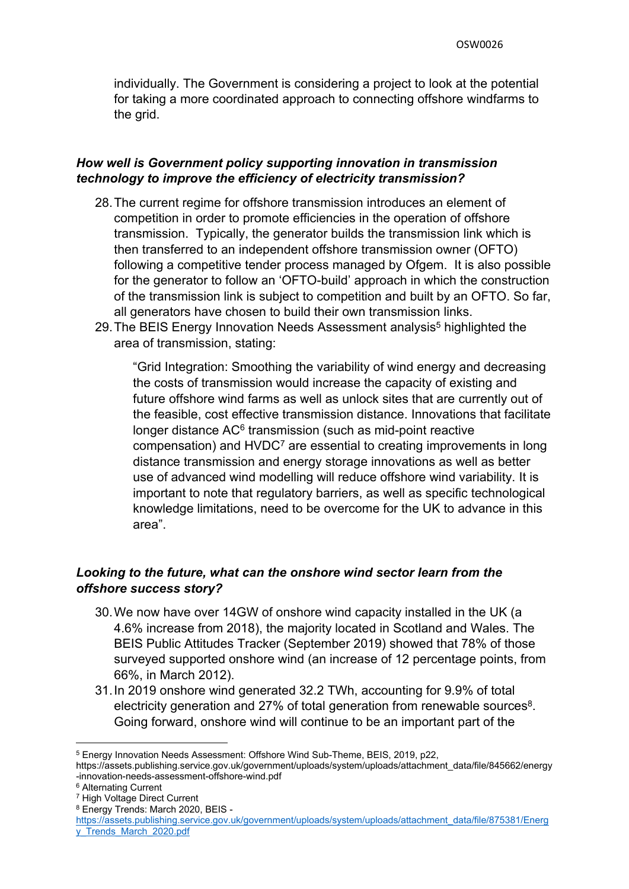individually. The Government is considering a project to look at the potential for taking a more coordinated approach to connecting offshore windfarms to the grid.

## *How well is Government policy supporting innovation in transmission technology to improve the efficiency of electricity transmission?*

- 28.The current regime for offshore transmission introduces an element of competition in order to promote efficiencies in the operation of offshore transmission. Typically, the generator builds the transmission link which is then transferred to an independent offshore transmission owner (OFTO) following a competitive tender process managed by Ofgem. It is also possible for the generator to follow an 'OFTO-build' approach in which the construction of the transmission link is subject to competition and built by an OFTO. So far, all generators have chosen to build their own transmission links.
- 29. The BEIS Energy Innovation Needs Assessment analysis<sup>5</sup> highlighted the area of transmission, stating:

"Grid Integration: Smoothing the variability of wind energy and decreasing the costs of transmission would increase the capacity of existing and future offshore wind farms as well as unlock sites that are currently out of the feasible, cost effective transmission distance. Innovations that facilitate longer distance AC<sup>6</sup> transmission (such as mid-point reactive compensation) and HVDC<sup>7</sup> are essential to creating improvements in long distance transmission and energy storage innovations as well as better use of advanced wind modelling will reduce offshore wind variability. It is important to note that regulatory barriers, as well as specific technological knowledge limitations, need to be overcome for the UK to advance in this area".

# *Looking to the future, what can the onshore wind sector learn from the offshore success story?*

- 30.We now have over 14GW of onshore wind capacity installed in the UK (a 4.6% increase from 2018), the majority located in Scotland and Wales. The BEIS Public Attitudes Tracker (September 2019) showed that 78% of those surveyed supported onshore wind (an increase of 12 percentage points, from 66%, in March 2012).
- 31.In 2019 onshore wind generated 32.2 TWh, accounting for 9.9% of total electricity generation and 27% of total generation from renewable sources<sup>8</sup>. Going forward, onshore wind will continue to be an important part of the

<sup>5</sup> Energy Innovation Needs Assessment: Offshore Wind Sub-Theme, BEIS, 2019, p22,

https://assets.publishing.service.gov.uk/government/uploads/system/uploads/attachment\_data/file/845662/energy -innovation-needs-assessment-offshore-wind.pdf

<sup>6</sup> Alternating Current

<sup>7</sup> High Voltage Direct Current <sup>8</sup> Energy Trends: March 2020, BEIS -

[https://assets.publishing.service.gov.uk/government/uploads/system/uploads/attachment\\_data/file/875381/Energ](https://assets.publishing.service.gov.uk/government/uploads/system/uploads/attachment_data/file/875381/Energy_Trends_March_2020.pdf) [y\\_Trends\\_March\\_2020.pdf](https://assets.publishing.service.gov.uk/government/uploads/system/uploads/attachment_data/file/875381/Energy_Trends_March_2020.pdf)